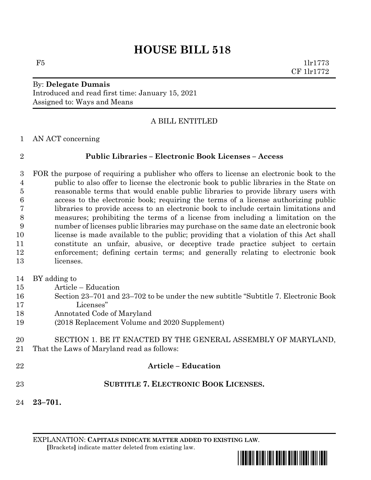# **HOUSE BILL 518**

 $F5$  1lr1773 CF 1lr1772

### By: **Delegate Dumais** Introduced and read first time: January 15, 2021 Assigned to: Ways and Means

## A BILL ENTITLED

AN ACT concerning

#### **Public Libraries – Electronic Book Licenses – Access**

 FOR the purpose of requiring a publisher who offers to license an electronic book to the public to also offer to license the electronic book to public libraries in the State on reasonable terms that would enable public libraries to provide library users with access to the electronic book; requiring the terms of a license authorizing public libraries to provide access to an electronic book to include certain limitations and measures; prohibiting the terms of a license from including a limitation on the number of licenses public libraries may purchase on the same date an electronic book license is made available to the public; providing that a violation of this Act shall constitute an unfair, abusive, or deceptive trade practice subject to certain enforcement; defining certain terms; and generally relating to electronic book licenses.

#### BY adding to

- Article Education
- Section 23–701 and 23–702 to be under the new subtitle "Subtitle 7. Electronic Book Licenses"
- Annotated Code of Maryland
- (2018 Replacement Volume and 2020 Supplement)
- SECTION 1. BE IT ENACTED BY THE GENERAL ASSEMBLY OF MARYLAND, That the Laws of Maryland read as follows:
- 

#### **Article – Education**

- **SUBTITLE 7. ELECTRONIC BOOK LICENSES.**
- **23–701.**

EXPLANATION: **CAPITALS INDICATE MATTER ADDED TO EXISTING LAW**.  **[**Brackets**]** indicate matter deleted from existing law.

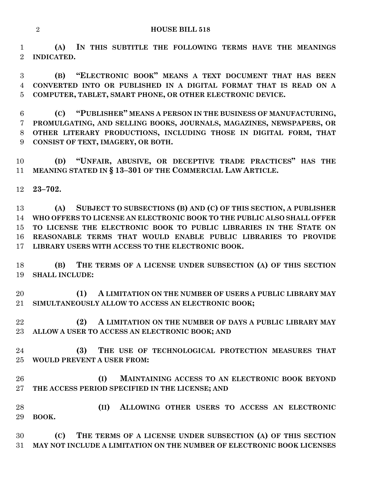**(A) IN THIS SUBTITLE THE FOLLOWING TERMS HAVE THE MEANINGS INDICATED.**

 **(B) "ELECTRONIC BOOK" MEANS A TEXT DOCUMENT THAT HAS BEEN CONVERTED INTO OR PUBLISHED IN A DIGITAL FORMAT THAT IS READ ON A COMPUTER, TABLET, SMART PHONE, OR OTHER ELECTRONIC DEVICE.**

 **(C) "PUBLISHER" MEANS A PERSON IN THE BUSINESS OF MANUFACTURING, PROMULGATING, AND SELLING BOOKS, JOURNALS, MAGAZINES, NEWSPAPERS, OR OTHER LITERARY PRODUCTIONS, INCLUDING THOSE IN DIGITAL FORM, THAT CONSIST OF TEXT, IMAGERY, OR BOTH.**

 **(D) "UNFAIR, ABUSIVE, OR DECEPTIVE TRADE PRACTICES" HAS THE MEANING STATED IN § 13–301 OF THE COMMERCIAL LAW ARTICLE.**

**23–702.**

 **(A) SUBJECT TO SUBSECTIONS (B) AND (C) OF THIS SECTION, A PUBLISHER WHO OFFERS TO LICENSE AN ELECTRONIC BOOK TO THE PUBLIC ALSO SHALL OFFER TO LICENSE THE ELECTRONIC BOOK TO PUBLIC LIBRARIES IN THE STATE ON REASONABLE TERMS THAT WOULD ENABLE PUBLIC LIBRARIES TO PROVIDE LIBRARY USERS WITH ACCESS TO THE ELECTRONIC BOOK.**

 **(B) THE TERMS OF A LICENSE UNDER SUBSECTION (A) OF THIS SECTION SHALL INCLUDE:**

 **(1) A LIMITATION ON THE NUMBER OF USERS A PUBLIC LIBRARY MAY SIMULTANEOUSLY ALLOW TO ACCESS AN ELECTRONIC BOOK;**

 **(2) A LIMITATION ON THE NUMBER OF DAYS A PUBLIC LIBRARY MAY ALLOW A USER TO ACCESS AN ELECTRONIC BOOK; AND**

 **(3) THE USE OF TECHNOLOGICAL PROTECTION MEASURES THAT WOULD PREVENT A USER FROM:**

 **(I) MAINTAINING ACCESS TO AN ELECTRONIC BOOK BEYOND THE ACCESS PERIOD SPECIFIED IN THE LICENSE; AND**

 **(II) ALLOWING OTHER USERS TO ACCESS AN ELECTRONIC BOOK.**

 **(C) THE TERMS OF A LICENSE UNDER SUBSECTION (A) OF THIS SECTION MAY NOT INCLUDE A LIMITATION ON THE NUMBER OF ELECTRONIC BOOK LICENSES**